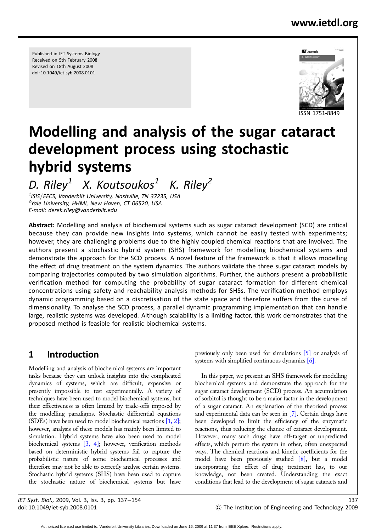Published in IET Systems Biology Received on 5th February 2008 Revised on 18th August 2008 doi: 10.1049/iet-syb.2008.0101



# Modelling and analysis of the sugar cataract development process using stochastic hybrid systems

D. Riley<sup>1</sup> X. Koutsoukos<sup>1</sup> K. Riley<sup>2</sup>

 $\frac{1}{2}$ ISIS/EECS, Vanderbilt University, Nashville, TN 37235, USA<br> $\frac{2}{5}$ Valo University, HHML, Now Hayen, CT 06520, USA  $2$ Yale University, HHMI, New Haven, CT 06520, USA E-mail: derek.riley@vanderbilt.edu

Abstract: Modelling and analysis of biochemical systems such as sugar cataract development (SCD) are critical because they can provide new insights into systems, which cannot be easily tested with experiments; however, they are challenging problems due to the highly coupled chemical reactions that are involved. The authors present a stochastic hybrid system (SHS) framework for modelling biochemical systems and demonstrate the approach for the SCD process. A novel feature of the framework is that it allows modelling the effect of drug treatment on the system dynamics. The authors validate the three sugar cataract models by comparing trajectories computed by two simulation algorithms. Further, the authors present a probabilistic verification method for computing the probability of sugar cataract formation for different chemical concentrations using safety and reachability analysis methods for SHSs. The verification method employs dynamic programming based on a discretisation of the state space and therefore suffers from the curse of dimensionality. To analyse the SCD process, a parallel dynamic programming implementation that can handle large, realistic systems was developed. Although scalability is a limiting factor, this work demonstrates that the proposed method is feasible for realistic biochemical systems.

# 1 Introduction

Modelling and analysis of biochemical systems are important tasks because they can unlock insights into the complicated dynamics of systems, which are difficult, expensive or presently impossible to test experimentally. A variety of techniques have been used to model biochemical systems, but their effectiveness is often limited by trade-offs imposed by the modelling paradigms. Stochastic differential equations (SDEs) have been used to model biochemical reactions [1, 2]; however, analysis of these models has mainly been limited to simulation. Hybrid systems have also been used to model biochemical systems  $[3, 4]$ ; however, verification methods based on deterministic hybrid systems fail to capture the probabilistic nature of some biochemical processes and therefore may not be able to correctly analyse certain systems. Stochastic hybrid systems (SHS) have been used to capture the stochastic nature of biochemical systems but have previously only been used for simulations [5] or analysis of systems with simplified continuous dynamics  $[6]$ .

In this paper, we present an SHS framework for modelling biochemical systems and demonstrate the approach for the sugar cataract development (SCD) process. An accumulation of sorbitol is thought to be a major factor in the development of a sugar cataract. An explanation of the theorised process and experimental data can be seen in [7]. Certain drugs have been developed to limit the efficiency of the enzymatic reactions, thus reducing the chance of cataract development. However, many such drugs have off-target or unpredicted effects, which perturb the system in other, often unexpected ways. The chemical reactions and kinetic coefficients for the model have been previously studied  $[8]$ , but a model incorporating the effect of drug treatment has, to our knowledge, not been created. Understanding the exact conditions that lead to the development of sugar cataracts and

IET Syst. Biol., 2009, Vol. 3, Iss. 3, pp. 137–154 137

Authorized licensed use limited to: Vanderbilt University Libraries. Downloaded on June 16, 2009 at 11:37 from IEEE Xplore. Restrictions apply.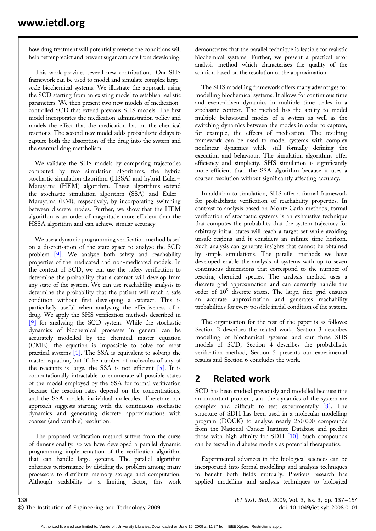how drug treatment will potentially reverse the conditions will help better predict and prevent sugar cataracts from developing.

This work provides several new contributions. Our SHS framework can be used to model and simulate complex largescale biochemical systems. We illustrate the approach using the SCD starting from an existing model to establish realistic parameters. We then present two new models of medicationcontrolled SCD that extend previous SHS models. The first model incorporates the medication administration policy and models the effect that the medication has on the chemical reactions. The second new model adds probabilistic delays to capture both the absorption of the drug into the system and the eventual drug metabolism.

We validate the SHS models by comparing trajectories computed by two simulation algorithms, the hybrid stochastic simulation algorithm (HSSA) and hybrid Euler – Maruyama (HEM) algorithm. These algorithms extend the stochastic simulation algorithm (SSA) and Euler – Maruyama (EM), respectively, by incorporating switching between discrete modes. Further, we show that the HEM algorithm is an order of magnitude more efficient than the HSSA algorithm and can achieve similar accuracy.

We use a dynamic programming verification method based on a discretisation of the state space to analyse the SCD problem [9]. We analyse both safety and reachability properties of the medicated and non-medicated models. In the context of SCD, we can use the safety verification to determine the probability that a cataract will develop from any state of the system. We can use reachability analysis to determine the probability that the patient will reach a safe condition without first developing a cataract. This is particularly useful when analysing the effectiveness of a drug. We apply the SHS verification methods described in [9] for analysing the SCD system. While the stochastic dynamics of biochemical processes in general can be accurately modelled by the chemical master equation (CME), the equation is impossible to solve for most practical systems [1]. The SSA is equivalent to solving the master equation, but if the number of molecules of any of the reactants is large, the SSA is not efficient [5]. It is computationally intractable to enumerate all possible states of the model employed by the SSA for formal verification because the reaction rates depend on the concentrations, and the SSA models individual molecules. Therefore our approach suggests starting with the continuous stochastic dynamics and generating discrete approximations with coarser (and variable) resolution.

The proposed verification method suffers from the curse of dimensionality, so we have developed a parallel dynamic programming implementation of the verification algorithm that can handle large systems. The parallel algorithm enhances performance by dividing the problem among many processors to distribute memory storage and computation. Although scalability is a limiting factor, this work demonstrates that the parallel technique is feasible for realistic biochemical systems. Further, we present a practical error analysis method which characterises the quality of the solution based on the resolution of the approximation.

The SHS modelling framework offers many advantages for modelling biochemical systems. It allows for continuous time and event-driven dynamics in multiple time scales in a stochastic context. The method has the ability to model multiple behavioural modes of a system as well as the switching dynamics between the modes in order to capture, for example, the effects of medication. The resulting framework can be used to model systems with complex nonlinear dynamics while still formally defining the execution and behaviour. The simulation algorithms offer efficiency and simplicity. SHS simulation is significantly more efficient than the SSA algorithm because it uses a coarser resolution without significantly affecting accuracy.

In addition to simulation, SHS offer a formal framework for probabilistic verification of reachability properties. In contrast to analysis based on Monte Carlo methods, formal verification of stochastic systems is an exhaustive technique that computes the probability that the system trajectory for arbitrary initial states will reach a target set while avoiding unsafe regions and it considers an infinite time horizon. Such analysis can generate insights that cannot be obtained by simple simulations. The parallel methods we have developed enable the analysis of systems with up to seven continuous dimensions that correspond to the number of reacting chemical species. The analysis method uses a discrete grid approximation and can currently handle the order of  $10^9$  discrete states. The large, fine grid ensures an accurate approximation and generates reachability probabilities for every possible initial condition of the system.

The organisation for the rest of the paper is as follows: Section 2 describes the related work, Section 3 describes modelling of biochemical systems and our three SHS models of SCD, Section 4 describes the probabilistic verification method, Section 5 presents our experimental results and Section 6 concludes the work.

# 2 Related work

SCD has been studied previously and modelled because it is an important problem, and the dynamics of the system are complex and difficult to test experimentally [8]. The structure of SDH has been used in a molecular modelling program (DOCK) to analyse nearly 250 000 compounds from the National Cancer Institute Database and predict those with high affinity for SDH [10]. Such compounds can be tested in diabetes models as potential therapeutics.

Experimental advances in the biological sciences can be incorporated into formal modelling and analysis techniques to benefit both fields mutually. Previous research has applied modelling and analysis techniques to biological

Authorized licensed use limited to: Vanderbilt University Libraries. Downloaded on June 16, 2009 at 11:37 from IEEE Xplore. Restrictions apply.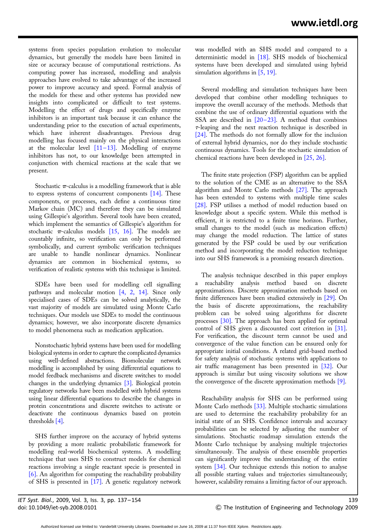systems from species population evolution to molecular dynamics, but generally the models have been limited in size or accuracy because of computational restrictions. As computing power has increased, modelling and analysis approaches have evolved to take advantage of the increased power to improve accuracy and speed. Formal analysis of the models for these and other systems has provided new insights into complicated or difficult to test systems. Modelling the effect of drugs and specifically enzyme inhibitors is an important task because it can enhance the understanding prior to the execution of actual experiments, which have inherent disadvantages. Previous drug modelling has focused mainly on the physical interactions at the molecular level  $[11-13]$ . Modelling of enzyme inhibitors has not, to our knowledge been attempted in conjunction with chemical reactions at the scale that we present.

Stochastic  $\pi$ -calculus is a modelling framework that is able to express systems of concurrent components [14]. These components, or processes, each define a continuous time Markov chain (MC) and therefore they can be simulated using Gillespie's algorithm. Several tools have been created, which implement the semantics of Gillespie's algorithm for stochastic  $\pi$ -calculus models [15, 16]. The models are countably infinite, so verification can only be performed symbolically, and current symbolic verification techniques are unable to handle nonlinear dynamics. Nonlinear dynamics are common in biochemical systems, so verification of realistic systems with this technique is limited.

SDEs have been used for modelling cell signalling pathways and molecular motion [4, 2, 14]. Since only specialised cases of SDEs can be solved analytically, the vast majority of models are simulated using Monte Carlo techniques. Our models use SDEs to model the continuous dynamics; however, we also incorporate discrete dynamics to model phenomena such as medication application.

Nonstochastic hybrid systems have been used for modelling biological systems in order to capture the complicated dynamics using well-defined abstractions. Biomolecular network modelling is accomplished by using differential equations to model feedback mechanisms and discrete switches to model changes in the underlying dynamics [3]. Biological protein regulatory networks have been modelled with hybrid systems using linear differential equations to describe the changes in protein concentrations and discrete switches to activate or deactivate the continuous dynamics based on protein thresholds [4].

SHS further improve on the accuracy of hybrid systems by providing a more realistic probabilistic framework for modelling real-world biochemical systems. A modelling technique that uses SHS to construct models for chemical reactions involving a single reactant specie is presented in [6]. An algorithm for computing the reachability probability of SHS is presented in [17]. A genetic regulatory network was modelled with an SHS model and compared to a deterministic model in [18]. SHS models of biochemical systems have been developed and simulated using hybrid simulation algorithms in [5, 19].

Several modelling and simulation techniques have been developed that combine other modelling techniques to improve the overall accuracy of the methods. Methods that combine the use of ordinary differential equations with the SSA are described in  $[20-23]$ . A method that combines  $\tau$ -leaping and the next reaction technique is described in [24]. The methods do not formally allow for the inclusion of external hybrid dynamics, nor do they include stochastic continuous dynamics. Tools for the stochastic simulation of chemical reactions have been developed in [25, 26].

The finite state projection (FSP) algorithm can be applied to the solution of the CME as an alternative to the SSA algorithm and Monte Carlo methods [27]. The approach has been extended to systems with multiple time scales [28]. FSP utilises a method of model reduction based on knowledge about a specific system. While this method is efficient, it is restricted to a finite time horizon. Further, small changes to the model (such as medication effects) may change the model reduction. The lattice of states generated by the FSP could be used by our verification method and incorporating the model reduction technique into our SHS framework is a promising research direction.

The analysis technique described in this paper employs a reachability analysis method based on discrete approximations. Discrete approximation methods based on finite differences have been studied extensively in [29]. On the basis of discrete approximations, the reachability problem can be solved using algorithms for discrete processes [30]. The approach has been applied for optimal control of SHS given a discounted cost criterion in [31]. For verification, the discount term cannot be used and convergence of the value function can be ensured only for appropriate initial conditions. A related grid-based method for safety analysis of stochastic systems with applications to air traffic management has been presented in [32]. Our approach is similar but using viscosity solutions we show the convergence of the discrete approximation methods [9].

Reachability analysis for SHS can be performed using Monte Carlo methods [33]. Multiple stochastic simulations are used to determine the reachability probability for an initial state of an SHS. Confidence intervals and accuracy probabilities can be selected by adjusting the number of simulations. Stochastic roadmap simulation extends the Monte Carlo technique by analysing multiple trajectories simultaneously. The analysis of these ensemble properties can significantly improve the understanding of the entire system [34]. Our technique extends this notion to analyse all possible starting values and trajectories simultaneously; however, scalability remains a limiting factor of our approach.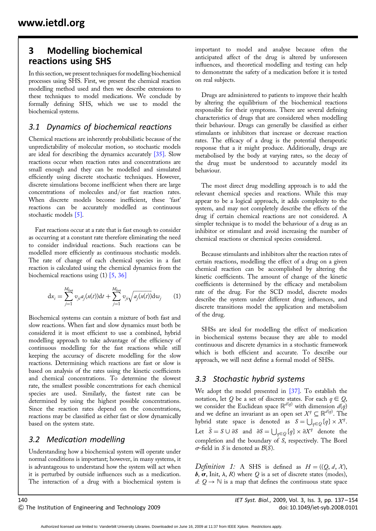# 3 Modelling biochemical reactions using SHS

In this section, we present techniques for modelling biochemical processes using SHS. First, we present the chemical reaction modelling method used and then we describe extensions to these techniques to model medications. We conclude by formally defining SHS, which we use to model the biochemical systems.

#### 3.1 Dynamics of biochemical reactions

Chemical reactions are inherently probabilistic because of the unpredictability of molecular motion, so stochastic models are ideal for describing the dynamics accurately [35]. Slow reactions occur when reaction rates and concentrations are small enough and they can be modelled and simulated efficiently using discrete stochastic techniques. However, discrete simulations become inefficient when there are large concentrations of molecules and/or fast reaction rates. When discrete models become inefficient, these 'fast' reactions can be accurately modelled as continuous stochastic models [5].

Fast reactions occur at a rate that is fast enough to consider as occurring at a constant rate therefore eliminating the need to consider individual reactions. Such reactions can be modelled more efficiently as continuous stochastic models. The rate of change of each chemical species in a fast reaction is calculated using the chemical dynamics from the biochemical reactions using (1) [5, 36]

$$
\mathrm{d}x_i = \sum_{j=1}^{M_{\text{fast}}} v_{ji} a_j(x(t)) \mathrm{d}t + \sum_{j=1}^{M_{\text{fast}}} v_{ji} \sqrt{a_j(x(t))} \mathrm{d}w_j \tag{1}
$$

Biochemical systems can contain a mixture of both fast and slow reactions. When fast and slow dynamics must both be considered it is most efficient to use a combined, hybrid modelling approach to take advantage of the efficiency of continuous modelling for the fast reactions while still keeping the accuracy of discrete modelling for the slow reactions. Determining which reactions are fast or slow is based on analysis of the rates using the kinetic coefficients and chemical concentrations. To determine the slowest rate, the smallest possible concentrations for each chemical species are used. Similarly, the fastest rate can be determined by using the highest possible concentrations. Since the reaction rates depend on the concentrations, reactions may be classified as either fast or slow dynamically based on the system state.

### 3.2 Medication modelling

Understanding how a biochemical system will operate under normal conditions is important; however, in many systems, it is advantageous to understand how the system will act when it is perturbed by outside influences such as a medication. The interaction of a drug with a biochemical system is important to model and analyse because often the anticipated affect of the drug is altered by unforeseen influences, and theoretical modelling and testing can help to demonstrate the safety of a medication before it is tested on real subjects.

Drugs are administered to patients to improve their health by altering the equilibrium of the biochemical reactions responsible for their symptoms. There are several defining characteristics of drugs that are considered when modelling their behaviour. Drugs can generally be classified as either stimulants or inhibitors that increase or decrease reaction rates. The efficacy of a drug is the potential therapeutic response that a it might produce. Additionally, drugs are metabolised by the body at varying rates, so the decay of the drug must be understood to accurately model its behaviour.

The most direct drug modelling approach is to add the relevant chemical species and reactions. While this may appear to be a logical approach, it adds complexity to the system, and may not completely describe the effects of the drug if certain chemical reactions are not considered. A simpler technique is to model the behaviour of a drug as an inhibitor or stimulant and avoid increasing the number of chemical reactions or chemical species considered.

Because stimulants and inhibitors alter the reaction rates of certain reactions, modelling the effect of a drug on a given chemical reaction can be accomplished by altering the kinetic coefficients. The amount of change of the kinetic coefficients is determined by the efficacy and metabolism rate of the drug. For the SCD model, discrete modes describe the system under different drug influences, and discrete transitions model the application and metabolism of the drug.

SHSs are ideal for modelling the effect of medication in biochemical systems because they are able to model continuous and discrete dynamics in a stochastic framework which is both efficient and accurate. To describe our approach, we will next define a formal model of SHSs.

### 3.3 Stochastic hybrid systems

We adopt the model presented in [37]. To establish the notation, let Q be a set of discrete states. For each  $q \in Q$ , we consider the Euclidean space  $\mathbb{R}^{d(q)}$  with dimension  $d(q)$ and we define an invariant as an open set  $X^q \subseteq \mathbb{R}^{d(q)}$ . The hybrid state space is denoted as  $S = \bigcup_{q \in Q} \{q\} \times X^q$ . Let  $\bar{S} = S \cup \partial S$  and  $\partial S = \bigcup_{q \in Q} \{q\} \times \partial X^q$  denote the completion and the boundary of S, respectively. The Borel  $\sigma$ -field in S is denoted as  $\mathcal{B}(S)$ .

Definition 1: A SHS is defined as  $H = ((0, d, \mathcal{X}),$  $\mathbf{b}, \overline{\mathbf{v}}, \overline{\mathbf{h}}$  init,  $\lambda$ ,  $R$ ) where  $Q$  is a set of discrete states (modes), d:  $Q \rightarrow \mathbb{N}$  is a map that defines the continuous state space

Authorized licensed use limited to: Vanderbilt University Libraries. Downloaded on June 16, 2009 at 11:37 from IEEE Xplore. Restrictions apply.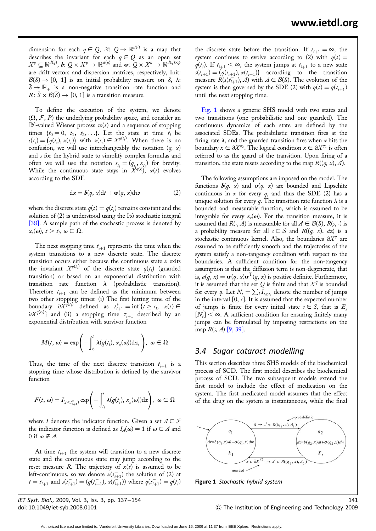dimension for each  $q \in Q$ ,  $\mathcal{X}: Q \to \mathbb{R}^{d(\cdot)}$  is a map that describes the invariant for each  $q \in Q$  as an open set  $X^q \subseteq \mathbb{R}^{d(q)}$ , b:  $Q \times X^q \to \mathbb{R}^{d(q)}$  and  $\boldsymbol{\sigma}: Q \times X^q \to \mathbb{R}^{d(q) \times p}$ are drift vectors and dispersion matrices, respectively, Init:  $\mathcal{B}(S) \rightarrow [0, 1]$  is an initial probability measure on S,  $\lambda$ :  $\bar{S} \rightarrow \mathbb{R}_{+}$  is a non-negative transition rate function and  $R: \bar{S} \times \mathcal{B}(\bar{S}) \rightarrow [0, 1]$  is a transition measure.

To define the execution of the system, we denote  $(\Omega, \mathcal{F}, P)$  the underlying probability space, and consider an  $\mathbb{R}^p$ -valued Wiener process  $w(t)$  and a sequence of stopping times  $\{t_0 = 0, t_1, t_2, \ldots\}$ . Let the state at time  $t_i$  be s(t<sub>i</sub>) =  $(q(t_i), x(t_i))$  with  $x(t_i) \in X^{q(t_i)}$ . When there is no confusion, we will use interchangeably the notation  $(q, x)$ and s for the hybrid state to simplify complex formulas and often we will use the notation  $s_{t_i} = (q_{t_i}, x_{t_i})$  for brevity. While the continuous state stays in  $\overline{X}^{q(t)}$ ,  $x(t)$  evolves according to the SDE

$$
dx = b(q, x)dt + \sigma(q, x)dw
$$
 (2)

where the discrete state  $q(t) = q(t_i)$  remains constant and the solution of (2) is understood using the Itô stochastic integral [38]. A sample path of the stochastic process is denoted by  $x_t(\omega)$ ,  $t > t_i$ ,  $\omega \in \Omega$ .

The next stopping time  $t_{i+1}$  represents the time when the system transitions to a new discrete state. The discrete transition occurs either because the continuous state  $x$  exits the invariant  $X^{q(t_i)}$  of the discrete state  $q(t_i)$  (guarded transition) or based on an exponential distribution with transition rate function  $\lambda$  (probabilistic transition). Therefore  $t_{i+1}$  can be defined as the minimum between two other stopping times: (i) The first hitting time of the boundary  $\partial \tilde{X}^{\tilde{q}(t_i)}$  defined as  $t_{i+1}^* = \inf \{t \ge t_i, x(t) \in$  $\partial X^{q(t_i)}$  and (ii) a stopping time  $\tau_{i+1}$  described by an exponential distribution with survivor function

$$
M(t, \omega) = \exp\left(-\int_{t_i}^t \lambda(q(t_i), x_z(\omega)) \mathrm{d}z, \right), \omega \in \Omega
$$

Thus, the time of the next discrete transition  $t_{i+1}$  is a stopping time whose distribution is defined by the survivor function

$$
F(t, \omega) = I_{(t < t_{i+1}^*)} \exp\left(-\int_{t_i}^t \lambda(q(t_i), x_z(\omega)) \mathrm{d}z\right), \omega \in \Omega
$$

where I denotes the indicator function. Given a set  $A \in \mathcal{F}$ the indicator function is defined as  $I_A(\omega) = 1$  if  $\omega \in A$  and 0 if  $\omega \notin A$ .

At time  $t_{i+1}$  the system will transition to a new discrete state and the continuous state may jump according to the reset measure R. The trajectory of  $x(t)$  is assumed to be left-continuous, so we denote  $x(t_{i+1}^-)$  the solution of (2) at  $t = t_{i+1}$  and  $s(t_{i+1}^-) = (q(t_{i+1}^-), x(t_{i+1}^-))$  where  $q(t_{i+1}^-) = q(t_i)$ 

the discrete state before the transition. If  $t_{i+1} = \infty$ , the system continues to evolve according to (2) with  $q(t) =$  $q(t_i)$ . If  $t_{i+1} < \infty$ , the system jumps at  $t_{i+1}$  to a new state  $s(t_{i+1}) = (q(t_{i+1}), x(t_{i+1}))$  according to the transition measure  $R(s(t_{i+1}), A)$  with  $A \in \mathcal{B}(S)$ . The evolution of the system is then governed by the SDE (2) with  $q(t) = q(t_{i+1})$ until the next stopping time.

Fig. 1 shows a generic SHS model with two states and two transitions (one probabilistic and one guarded). The continuous dynamics of each state are defined by the associated SDEs. The probabilistic transition fires at the firing rate  $\lambda$ , and the guarded transition fires when x hits the boundary  $x \in \partial X^{q_2}$ . The logical condition  $x \in \partial X^{q_2}$  is often referred to as the guard of the transition. Upon firing of a transition, the state resets according to the map  $R((q, x), A)$ .

The following assumptions are imposed on the model. The functions  $b(q, x)$  and  $\sigma(q, x)$  are bounded and Lipschitz continuous in  $x$  for every  $q$ , and thus the SDE (2) has a unique solution for every q. The transition rate function  $\lambda$  is a bounded and measurable function, which is assumed to be integrable for every  $x_t(\omega)$ . For the transition measure, it is assumed that  $R(\cdot, A)$  is measurable for all  $A \in B(S)$ ,  $R(s, \cdot)$  is a probability measure for all  $s \in S$  and  $R((q, x), dz)$  is a stochastic continuous kernel. Also, the boundaries  $\partial X^q$  are assumed to be sufficiently smooth and the trajectories of the system satisfy a non-tangency condition with respect to the boundaries. A sufficient condition for the non-tangency assumption is that the diffusion term is non-degenerate, that is,  $a(q, x) = \boldsymbol{\sigma}(q, x) \boldsymbol{\sigma}^\mathrm{T}(q, x)$  is positive definite. Furthermore, it is assumed that the set  $Q$  is finite and that  $X<sup>q</sup>$  is bounded for every q. Let  $N_t = \sum_i I_{t \ge t_i}$  denote the number of jumps in the interval  $[0, t]$ . It is assumed that the expected number of jumps is finite for every initial state  $s \in S$ , that is E.  $[N_t] < \infty$ . A sufficient condition for ensuring finitely many jumps can be formulated by imposing restrictions on the map  $R(s, A)$  [9, 39].

#### 3.4 Sugar cataract modelling

This section describes three SHS models of the biochemical process of SCD. The first model describes the biochemical process of SCD. The two subsequent models extend the first model to include the effect of medication on the system. The first medicated model assumes that the effect of the drug on the system is instantaneous, while the final



Figure 1 Stochastic hybrid system

IET Syst. Biol., 2009, Vol. 3, Iss. 3, pp. 137–154 141

doi: 10.1049/iet-syb.2008.0101  $\bullet$  The Institution of Engineering and Technology 2009

Authorized licensed use limited to: Vanderbilt University Libraries. Downloaded on June 16, 2009 at 11:37 from IEEE Xplore. Restrictions apply.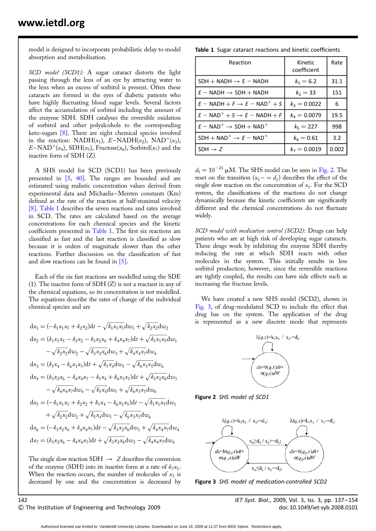model is designed to incorporate probabilistic delay to model absorption and metabolisation.

SCD model (SCD1): A sugar cataract distorts the light passing through the lens of an eye by attracting water to the lens when an excess of sorbitol is present. Often these cataracts are formed in the eyes of diabetic patients who have highly fluctuating blood sugar levels. Several factors affect the accumulation of sorbitol including the amount of the enzyme SDH. SDH catalyses the reversible oxidation of sorbitol and other polyalcohols to the corresponding keto-sugars [8]. There are eight chemical species involved in the reaction: NADH( $x_1$ ), E–NADH( $x_2$ ), NAD<sup>+</sup>( $x_3$ ),  $E-\text{NAD}^{+}(x_4)$ , SDH( $x_5$ ), Fructose( $x_6$ ), Sorbitol( $x_7$ ) and the inactive form of SDH (Z).

A SHS model for SCD (SCD1) has been previously presented in [5, 40]. The ranges are bounded and are estimated using realistic concentration values derived from experimental data and Michaelis –Menten constants (Km) defined as the rate of the reaction at half-maximal velocity [8]. Table 1 describes the seven reactions and rates involved in SCD. The rates are calculated based on the average concentrations for each chemical species and the kinetic coefficients presented in Table 1. The first six reactions are classified as fast and the last reaction is classified as slow because it is orders of magnitude slower than the other reactions. Further discussion on the classification of fast and slow reactions can be found in [5].

Each of the six fast reactions are modelled using the SDE (1). The inactive form of SDH (Z) is not a reactant in any of the chemical equations, so its concentration is not modelled. The equations describe the rates of change of the individual chemical species and are

$$
dx_1 = (-k_1x_1x_5 + k_2x_2)dt - \sqrt{k_1x_1x_5}dw_1 + \sqrt{k_2x_2}dw_2
$$
  
\n
$$
dx_2 = (k_1x_1x_5 - k_2x_2 - k_3x_2x_6 + k_4x_4x_7)dt + \sqrt{k_1x_1x_5}dw_1
$$
  
\n
$$
-\sqrt{k_2x_2}dw_2 - \sqrt{k_3x_2x_6}dw_3 + \sqrt{k_4x_4x_7}dw_4
$$
  
\n
$$
dx_3 = (k_5x_4 - k_6x_3x_5)dt + \sqrt{k_5x_4}dw_5 - \sqrt{k_6x_3x_5}dw_6
$$
  
\n
$$
dx_4 = (k_3x_2x_6 - k_4x_4x_7 - k_5x_4 + k_6x_3x_5)dt + \sqrt{k_3x_2x_6}dw_3
$$
  
\n
$$
-\sqrt{k_4x_4x_7}dw_4 - \sqrt{k_5x_4}dw_5 + \sqrt{k_6x_3x_5}dw_6
$$
  
\n
$$
dx_5 = (-k_1x_1x_5 + k_2x_2 + k_5x_4 - k_6x_3x_5)dt - \sqrt{k_1x_1x_5}dw_1
$$
  
\n
$$
+\sqrt{k_2x_2}dw_2 + \sqrt{k_5x_4}dw_5 - \sqrt{k_6x_3x_5}dw_6
$$
  
\n
$$
dx_6 = (-k_3x_2x_6 + k_4x_4x_7)dt - \sqrt{k_3x_2x_6}dw_3 + \sqrt{k_4x_4x_7}dw_4
$$
  
\n
$$
dx_7 = (k_3x_2x_6 - k_4x_4x_7)dt + \sqrt{k_3x_2x_6}dw_3 - \sqrt{k_4x_4x_7}dw_4
$$

The single slow reaction SDH  $\rightarrow$  Z describes the conversion of the enzyme (SDH) into its inactive form at a rate of  $k_7x_5$ . When the reaction occurs, the number of molecules of  $x_5$  is decreased by one and the concentration is decreased by

Table 1 Sugar cataract reactions and kinetic coefficients

| Reaction                                              | Kinetic<br>coefficient | Rate  |
|-------------------------------------------------------|------------------------|-------|
| $SDH + NADH \rightarrow E - NADH$                     | $k_1 = 6.2$            | 31.1  |
| $E$ – NADH $\rightarrow$ SDH + NADH                   | $k_2 = 33$             | 151   |
| $E$ – NADH + $F \rightarrow E$ – NAD <sup>+</sup> + S | $k_3 = 0.0022$         | 6     |
| $E - NAD^{+} + S \rightarrow E - NADH + F$            | $k_4 = 0.0079$         | 19.5  |
| $E - NAD^+ \rightarrow SDH + NAD^+$                   | $k_5 = 227$            | 998   |
| $SDH + NAD^{+} \rightarrow E - NAD^{+}$               | $k_6 = 0.61$           | 3.2   |
| $SDH \rightarrow Z$                                   | $k_7 = 0.0019$         | 0.002 |

 $d_1 = 10^{-21}$  µM. The SHS model can be seen in Fig. 2. The reset on the transition  $(x_5 - d_1)$  describes the effect of the single slow reaction on the concentration of  $x_5$ . For the SCD system, the classifications of the reactions do not change dynamically because the kinetic coefficients are significantly different and the chemical concentrations do not fluctuate widely.

SCD model with medication control (SCD2): Drugs can help patients who are at high risk of developing sugar cataracts. These drugs work by inhibiting the enzyme SDH thereby reducing the rate at which SDH reacts with other molecules in the system. This initially results in less sorbitol production; however, since the reversible reactions are tightly coupled, the results can have side effects such as increasing the fructose levels.

We have created a new SHS model (SCD2), shown in Fig. 3, of drug-modulated SCD to include the effect that drug has on the system. The application of the drug is represented as a new discrete mode that represents



Figure 2 SHS model of SCD1



Figure 3 SHS model of medication-controlled SCD2

Authorized licensed use limited to: Vanderbilt University Libraries. Downloaded on June 16, 2009 at 11:37 from IEEE Xplore. Restrictions apply.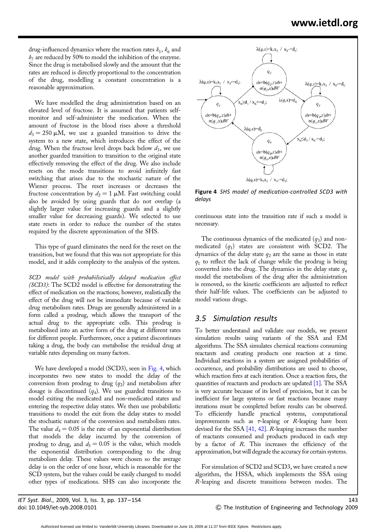drug-influenced dynamics where the reaction rates  $k_1$ ,  $k_6$  and  $k<sub>7</sub>$  are reduced by 50% to model the inhibition of the enzyme. Since the drug is metabolised slowly and the amount that the rates are reduced is directly proportional to the concentration of the drug, modelling a constant concentration is a reasonable approximation.

We have modelled the drug administration based on an elevated level of fructose. It is assumed that patients selfmonitor and self-administer the medication. When the amount of fructose in the blood rises above a threshold  $d_3 = 250 \mu M$ , we use a guarded transition to drive the system to a new state, which introduces the effect of the drug. When the fructose level drops back below  $d_3$ , we use another guarded transition to transition to the original state effectively removing the effect of the drug. We also include resets on the mode transitions to avoid infinitely fast switching that arises due to the stochastic nature of the Wiener process. The reset increases or decreases the fructose concentration by  $d_2 = 1 \mu M$ . Fast switching could also be avoided by using guards that do not overlap (a slightly larger value for increasing guards and a slightly smaller value for decreasing guards). We selected to use state resets in order to reduce the number of the states required by the discrete approximation of the SHS.

This type of guard eliminates the need for the reset on the transition, but we found that this was not appropriate for this model, and it adds complexity to the analysis of the system.

SCD model with probabilistically delayed medication effect (SCD3): The SCD2 model is effective for demonstrating the effect of medication on the reactions; however, realistically the effect of the drug will not be immediate because of variable drug metabolism rates. Drugs are generally administered in a form called a prodrug, which allows the transport of the actual drug to the appropriate cells. This prodrug is metabolised into an active form of the drug at different rates for different people. Furthermore, once a patient discontinues taking a drug, the body can metabolise the residual drug at variable rates depending on many factors.

We have developed a model (SCD3), seen in Fig. 4, which incorporates two new states to model the delay of the conversion from prodrug to drug  $(q_2)$  and metabolism after dosage is discontinued  $(q_4)$ . We use guarded transitions to model exiting the medicated and non-medicated states and entering the respective delay states. We then use probabilistic transitions to model the exit from the delay states to model the stochastic nature of the conversion and metabolism rates. The value  $d_4 = 0.05$  is the rate of an exponential distribution that models the delay incurred by the conversion of prodrug to drug, and  $d_5 = 0.05$  is the value, which models the exponential distribution corresponding to the drug metabolism delay. These values were chosen so the average delay is on the order of one hour, which is reasonable for the SCD system, but the values could be easily changed to model other types of medications. SHS can also incorporate the



Figure 4 SHS model of medication-controlled SCD3 with delays

continuous state into the transition rate if such a model is necessary.

The continuous dynamics of the medicated  $(q_3)$  and nonmedicated  $(q_1)$  states are consistent with SCD2. The dynamics of the delay state  $q_2$  are the same as those in state  $q_1$  to reflect the lack of change while the prodrug is being converted into the drug. The dynamics in the delay state  $q_4$ model the metabolism of the drug after the administration is removed, so the kinetic coefficients are adjusted to reflect their half-life values. The coefficients can be adjusted to model various drugs.

#### 3.5 Simulation results

To better understand and validate our models, we present simulation results using variants of the SSA and EM algorithms. The SSA simulates chemical reactions consuming reactants and creating products one reaction at a time. Individual reactions in a system are assigned probabilities of occurrence, and probability distributions are used to choose, which reaction fires at each iteration. Once a reaction fires, the quantities of reactants and products are updated [1]. The SSA is very accurate because of its level of precision, but it can be inefficient for large systems or fast reactions because many iterations must be completed before results can be observed. To efficiently handle practical systems, computational improvements such as  $\tau$ -leaping or R-leaping have been devised for the SSA [41, 42]. R-leaping increases the number of reactants consumed and products produced in each step by a factor of R. This increases the efficiency of the approximation, but will degrade the accuracy for certain systems.

For simulation of SCD2 and SCD3, we have created a new algorithm, the HSSA, which implements the SSA using R-leaping and discrete transitions between modes. The

Authorized licensed use limited to: Vanderbilt University Libraries. Downloaded on June 16, 2009 at 11:37 from IEEE Xplore. Restrictions apply.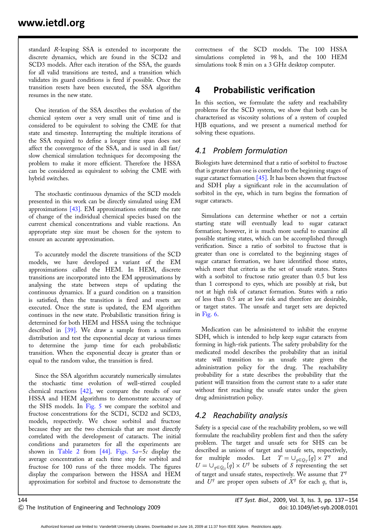standard R-leaping SSA is extended to incorporate the discrete dynamics, which are found in the SCD2 and SCD3 models. After each iteration of the SSA, the guards for all valid transitions are tested, and a transition which validates its guard conditions is fired if possible. Once the transition resets have been executed, the SSA algorithm resumes in the new state.

One iteration of the SSA describes the evolution of the chemical system over a very small unit of time and is considered to be equivalent to solving the CME for that state and timestep. Interrupting the multiple iterations of the SSA required to define a longer time span does not affect the convergence of the SSA, and is used in all fast/ slow chemical simulation techniques for decomposing the problem to make it more efficient. Therefore the HSSA can be considered as equivalent to solving the CME with hybrid switches.

The stochastic continuous dynamics of the SCD models presented in this work can be directly simulated using EM approximations [43]. EM approximations estimate the rate of change of the individual chemical species based on the current chemical concentrations and viable reactions. An appropriate step size must be chosen for the system to ensure an accurate approximation.

To accurately model the discrete transitions of the SCD models, we have developed a variant of the EM approximations called the HEM. In HEM, discrete transitions are incorporated into the EM approximations by analysing the state between steps of updating the continuous dynamics. If a guard condition on a transition is satisfied, then the transition is fired and resets are executed. Once the state is updated, the EM algorithm continues in the new state. Probabilistic transition firing is determined for both HEM and HSSA using the technique described in [39]. We draw a sample from a uniform distribution and test the exponential decay at various times to determine the jump time for each probabilistic transition. When the exponential decay is greater than or equal to the random value, the transition is fired.

Since the SSA algorithm accurately numerically simulates the stochastic time evolution of well-stirred coupled chemical reactions [42], we compare the results of our HSSA and HEM algorithms to demonstrate accuracy of the SHS models. In Fig. 5 we compare the sorbitol and fructose concentrations for the SCD1, SCD2 and SCD3, models, respectively. We chose sorbitol and fructose because they are the two chemicals that are most directly correlated with the development of cataracts. The initial conditions and parameters for all the experiments are shown in Table 2 from [44]. Figs.  $5a-5c$  display the average concentration at each time step for sorbitol and fructose for 100 runs of the three models. The figures display the comparison between the HSSA and HEM approximation for sorbitol and fructose to demonstrate the

correctness of the SCD models. The 100 HSSA simulations completed in 98 h, and the 100 HEM simulations took 8 min on a 3 GHz desktop computer.

# 4 Probabilistic verification

In this section, we formulate the safety and reachability problems for the SCD system, we show that both can be characterised as viscosity solutions of a system of coupled HJB equations, and we present a numerical method for solving these equations.

### 4.1 Problem formulation

Biologists have determined that a ratio of sorbitol to fructose that is greater than one is correlated to the beginning stages of sugar cataract formation  $[45]$ . It has been shown that fructose and SDH play a significant role in the accumulation of sorbitol in the eye, which in turn begins the formation of sugar cataracts.

Simulations can determine whether or not a certain starting state will eventually lead to sugar cataract formation; however, it is much more useful to examine all possible starting states, which can be accomplished through verification. Since a ratio of sorbitol to fructose that is greater than one is correlated to the beginning stages of sugar cataract formation, we have identified those states, which meet that criteria as the set of unsafe states. States with a sorbitol to fructose ratio greater than 0.5 but less than 1 correspond to eyes, which are possibly at risk, but not at high risk of cataract formation. States with a ratio of less than 0.5 are at low risk and therefore are desirable, or target states. The unsafe and target sets are depicted in Fig. 6.

Medication can be administered to inhibit the enzyme SDH, which is intended to help keep sugar cataracts from forming in high-risk patients. The safety probability for the medicated model describes the probability that an initial state will transition to an unsafe state given the administration policy for the drug. The reachability probability for a state describes the probability that the patient will transition from the current state to a safer state without first reaching the unsafe states under the given drug administration policy.

### 4.2 Reachability analysis

Safety is a special case of the reachability problem, so we will formulate the reachability problem first and then the safety problem. The target and unsafe sets for SHS can be described as unions of target and unsafe sets, respectively, for multiple modes. Let  $T = \bigcup_{q \in Q_T} \{q\} \times T^q$  and  $U = \bigcup_{q \in Q_U} \{q\} \times U^q$  be subsets of S representing the set of target and unsafe states, respectively. We assume that  $T<sup>q</sup>$ and  $\bar{U}^q$  are proper open subsets of  $\bar{X}^q$  for each q, that is,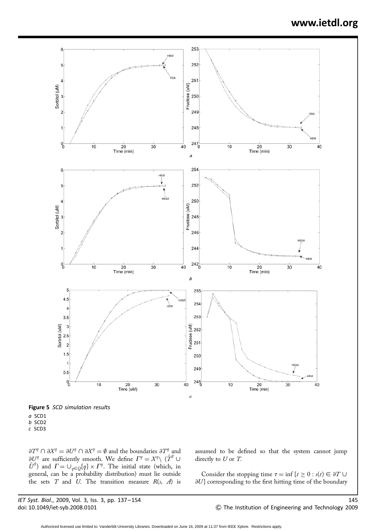



 $\partial T^q \cap \partial X^q = \partial U^q \cap \partial X^q = \emptyset$  and the boundaries  $\partial T^q$  and  $\partial U^q$  are sufficiently smooth. We define  $\Gamma^q = X^q \setminus (\bar{T}^q \cup$  $\bar{U}^q$ ) and  $\Gamma = \bigcup_{q \in Q} \{q\} \times \Gamma^q$ . The initial state (which, in general, can be a probability distribution) must lie outside the sets  $T$  and  $U$ . The transition measure  $R(s, A)$  is assumed to be defined so that the system cannot jump directly to U or T.

Consider the stopping time  $\tau = \inf \{ t \geq 0 : s(t) \in \partial T \cup \partial T \}$  $\partial U$ } corresponding to the first hitting time of the boundary

IET Syst. Biol., 2009, Vol. 3, Iss. 3, pp. 137–154 145

doi: 10.1049/iet-syb.2008.0101  $\bullet$  The Institution of Engineering and Technology 2009

Authorized licensed use limited to: Vanderbilt University Libraries. Downloaded on June 16, 2009 at 11:37 from IEEE Xplore. Restrictions apply.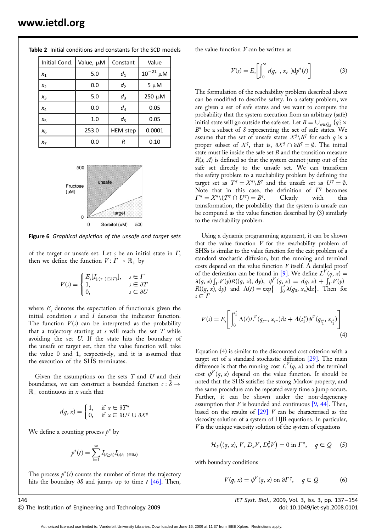| Initial Cond. | Value, µM | Constant | Value            |
|---------------|-----------|----------|------------------|
| $x_1$         | 5.0       | $d_1$    | $10^{-21} \mu M$ |
| $x_2$         | 0.0       | $d_2$    | $5 \mu M$        |
| $x_3$         | 5.0       | $d_3$    | 250 μM           |
| $X_4$         | 0.0       | $d_4$    | 0.05             |
| $x_{5}$       | 1.0       | $d_{5}$  | 0.05             |
| $X_6$         | 253.0     | HEM step | 0.0001           |
| $X_7$         | 0.0       | R        | 0.10             |

Table 2 Initial conditions and constants for the SCD models



Figure 6 Graphical depiction of the unsafe and target sets

of the target or unsafe set. Let  $s$  be an initial state in  $\Gamma$ , then we define the function  $V: \bar{I} \to \mathbb{R}_+$  by

$$
V(s) = \begin{cases} E_s[I_{(s(\tau^-) \in \partial T)}], & s \in \Gamma \\ 1, & s \in \partial T \\ 0, & s \in \partial U \end{cases}
$$

where  $E<sub>s</sub>$  denotes the expectation of functionals given the initial condition s and I denotes the indicator function. The function  $V(s)$  can be interpreted as the probability that a trajectory starting at  $s$  will reach the set  $T$  while avoiding the set U. If the state hits the boundary of the unsafe or target set, then the value function will take the value 0 and 1, respectively, and it is assumed that the execution of the SHS terminates.

Given the assumptions on the sets  $T$  and  $U$  and their boundaries, we can construct a bounded function  $c : \overline{S} \rightarrow$  $\mathbb{R}_+$  continuous in x such that

$$
c(q, x) = \begin{cases} 1, & \text{if } x \in \partial T^q \\ 0, & \text{if } x \in \partial U^q \cup \partial X^q \end{cases}
$$

We define a counting process  $p^*$  by

$$
p^*(t) = \sum_{i=1}^{\infty} I_{(t \ge t_i)} I_{(s(t_{i-}) \in \partial S)}
$$

The process  $p^*(t)$  counts the number of times the trajectory hits the boundary  $\partial S$  and jumps up to time t [46]. Then, the value function  $V$  can be written as

$$
V(s) = E_s \left[ \int_0^\infty c(q_{t-}, x_{t-}) \mathrm{d}p^*(t) \right] \tag{3}
$$

The formulation of the reachability problem described above can be modified to describe safety. In a safety problem, we are given a set of safe states and we want to compute the probability that the system execution from an arbitrary (safe) initial state will go outside the safe set. Let  $B = \bigcup_{q \in Q_B} \{q\} \times$  $B<sup>q</sup>$  be a subset of S representing the set of safe states. We assume that the set of unsafe states  $X^q \setminus B^q$  for each q is a proper subset of  $X^q$ , that is,  $\partial X^q \cap \partial B^q = \emptyset$ . The initial state must lie inside the safe set  $B$  and the transition measure  $R(s, A)$  is defined so that the system cannot jump out of the safe set directly to the unsafe set. We can transform the safety problem to a reachability problem by defining the target set as  $T^q = X^q \backslash B^q$  and the unsafe set as  $U^q = \emptyset$ . Note that in this case, the definition of  $\Gamma^q$  becomes  $\Gamma^q = X^q \setminus (T^q \cap U^q) = B^q$ . Clearly with this transformation, the probability that the system is unsafe can be computed as the value function described by (3) similarly to the reachability problem.

Using a dynamic programming argument, it can be shown that the value function  $V$  for the reachability problem of SHSs is similar to the value function for the exit problem of a standard stochastic diffusion, but the running and terminal costs depend on the value function  $V$  itself. A detailed proof of the derivation can be found in [9]. We define  $L^V(q, x) =$  $\lambda(q, x) \int_{\Gamma} V(y) R((q, x), dy), \psi^{V}(q, x) = c(q, x) + \int_{\Gamma} V(y)$  $R((q, x), dy)$  and  $\Lambda(t) = \exp\{-\int_0^t \lambda(q_0, x_z)dz\}$ . Then for  $s \in T$ 

$$
V(s) = E_s \left[ \int_0^{t_1^*} \Lambda(t) L^V(q_{t-}, x_{t-}) dt + \Lambda(t_1^*) \psi^V(q_{t_1^*}, x_{t_1^*}) \right]
$$
\n(4)

Equation (4) is similar to the discounted cost criterion with a target set of a standard stochastic diffusion [29]. The main difference is that the running cost  $L^V(q, x)$  and the terminal cost  $\psi^V(q, x)$  depend on the value function. It should be noted that the SHS satisfies the strong Markov property, and the same procedure can be repeated every time a jump occurs. Further, it can be shown under the non-degeneracy assumption that  $V$  is bounded and continuous  $[9, 44]$ . Then, based on the results of  $\left[29\right]$  V can be characterised as the viscosity solution of a system of HJB equations. In particular,  $V$  is the unique viscosity solution of the system of equations

$$
\mathcal{H}_{V}((q, x), V, D_{x}V, D_{x}^{2}V) = 0 \text{ in } \Gamma^{q}, \quad q \in Q \quad (5)
$$

with boundary conditions

$$
V(q, x) = \psi^V(q, x) \text{ on } \partial \Gamma^q, \quad q \in Q \tag{6}
$$

Authorized licensed use limited to: Vanderbilt University Libraries. Downloaded on June 16, 2009 at 11:37 from IEEE Xplore. Restrictions apply.

<sup>146</sup> IET Syst. Biol., 2009, Vol. 3, Iss. 3, pp. 137– 154 & The Institution of Engineering and Technology 2009 doi: 10.1049/iet-syb.2008.0101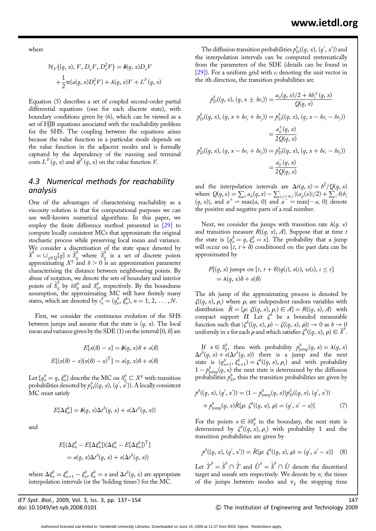where

$$
\mathcal{H}_{V}((q, x), V, D_x V, D_x^2 V) = b(q, x)D_x V
$$
  
+  $\frac{1}{2}$ tr $(a(q, x)D_x^2 V) + \lambda(q, x) V + L^V(q, x)$ 

Equation (5) describes a set of coupled second-order partial differential equations (one for each discrete state), with boundary conditions given by (6), which can be viewed as a set of HJB equations associated with the reachability problem for the SHS. The coupling between the equations arises because the value function in a particular mode depends on the value function in the adjacent modes and is formally captured by the dependency of the running and terminal costs  $L^V(q, x)$  and  $\psi^V(q, x)$  on the value function V.

#### 4.3 Numerical methods for reachability analysis

One of the advantages of characterising reachability as a viscosity solution is that for computational purposes we can use well-known numerical algorithms. In this paper, we employ the finite difference method presented in [29] to compute locally consistent MCs that approximate the original stochastic process while preserving local mean and variance. We consider a discretisation of the state space denoted by  $\bar{S}^b = \bigcup_{q \in Q} \{q\} \times \bar{S}^b_q$  where  $\bar{S}^b_q$  is a set of discrete points approximating  $X^q$  and  $h > 0$  is an approximation parameter characterising the distance between neighbouring points. By abuse of notation, we denote the sets of boundary and interior points of  $\bar{S}_q^b$  by  $\partial S_q^b$  and  $S_q^b$ , respectively. By the boundness assumption, the approximating MC will have finitely many states, which are denoted by  $s_n^b = (q_n^b, \xi_n^b), n = 1, 2, ..., N$ .

First, we consider the continuous evolution of the SHS between jumps and assume that the state is  $(q, x)$ . The local mean and variance given by the SDE (1) on the interval [0,  $\delta$ ] are

$$
E[x(\delta) - x] = b(q, x)\delta + o(\delta)
$$

$$
E[(x(\delta) - x)(x(\delta) - x)^{T}] = a(q, x)\delta + o(\delta)
$$

Let  $\{q_n^b = q,\,\xi_n^b\}$  describe the MC on  $S_q^b \subset X^q$  with transition probabilities denoted by  $p_D^b((q,\,x),\, (q',\,x'))$ . A locally consistent MC must satisfy

$$
E[\Delta \xi_n^b] = \boldsymbol{b}(q, x) \Delta t^b(q, x) + o(\Delta t^b(q, x))
$$

and

$$
E[(\Delta \xi_n^b - E[\Delta \xi_n^b])(\Delta \xi_n^b - E[\Delta \xi_n^b])^T]
$$
  
=  $a(q, x)\Delta t^b(q, x) + o(\Delta t^b(q, x))$ 

where  $\Delta \xi_n^b = \xi_{n+1}^b - \xi_n^b$ ,  $\xi_n^b = x$  and  $\Delta t^b(q, x)$  are appropriate interpolation intervals (or the 'holding times') for the MC.

The diffusion transition probabilities  $p_D^b((q, x), (q', x'))$  and the interpolation intervals can be computed systematically from the parameters of the SDE (details can be found in [29]). For a uniform grid with  $e_i$  denoting the unit vector in the ith direction, the transition probabilities are

$$
p_D^b((q, x), (q, x \pm be_i)) = \frac{a_{ii}(q, x)/2 + bb_i^{\pm}(q, x)}{Q(q, x)}
$$
  

$$
p_D^b((q, x), (q, x + be_i + be_j)) = p_D^b((q, x), (q, x - be_i - be_j))
$$
  

$$
= \frac{a_{ij}^+(q, x)}{2Q(q, x)}
$$
  

$$
p_D^b((q, x), (q, x - be_i + be_j)) = p_D^b((q, x), (q, x + be_i - be_j))
$$
  

$$
= \frac{a_{ij}^-(q, x)}{2Q(q, x)}
$$

and the interpolation intervals are  $\Delta t(q, x) = \frac{b^2}{Q(q, x)}$ where  $Q(q, x) = \sum_i a_{ii}(q, x) - \sum_{i, j : i \neq j} |(a_{ij}(x)|/2) + \sum_i b |b_i|$  $(q, x)$ , and  $a^+ = \max\{a, 0\}$  and  $a^- = \max\{-a, 0\}$  denote the positive and negative parts of a real number.

Next, we consider the jumps with transition rate  $\lambda(q, x)$ and transition measure  $R((q, x), A)$ . Suppose that at time t the state is  $\{q_n^b = q, \xi_n^b = x\}$ . The probability that a jump will occur on  $[t, t + \delta)$  conditioned on the past data can be approximated by

$$
P[(q, x) \text{ jumps on } [t, t + \delta) | q(s), x(s), w(s), s \leq t]
$$
  
=  $\lambda(q, x)\delta + o(\delta)$ 

The *i*th jump of the approximating process is denoted by  $\zeta((q, x), \rho_i)$  where  $\rho_i$  are independent random variables with distribution  $\overline{R} = {\rho : \zeta((q, x), \rho_i) \in A} = R((q, x), A)$  with compact support  $\Pi$ . Let  $\zeta^b$  be a bounded measurable function such that  $|\zeta^{b}((q, x), \rho) - \zeta((q, x), \rho)| \to 0$  as  $b \to 0$ uniformly in x for each  $\rho$  and which satisfies  $\zeta^b((q, x), \rho) \in \bar{S}^b$ .

If  $x \in S_q^b$ , then with probability  $p_{jump}^b(q, x) = \lambda(q, x)$  $\Delta t^{b}(q, x) + \frac{i}{q}(\Delta t^{b}(q, x))$  there is a jump and the next state is  $(q_{n+1}^b, \xi_{n+1}^b) = \zeta^b((q, x), \rho_i)$  and with probability  $1 - p_{\text{jump}}^b(q, x)$  the next state is determined by the diffusion probabilities  $p_D^b$ , thus the transition probabilities are given by

$$
\begin{aligned} \n p^b((q, x), (q', x')) &= (1 - p_{\text{jump}}^b(q, x)) p_D^b((q, x), (q', x')) \\ \n &+ p_{\text{jump}}^b(q, x) \bar{R}\{p: \zeta^b((q, x), p) = (q', x' - x)\} \n \end{aligned} \tag{7}
$$

For the points  $x \in \partial S_q^b$  in the boundary, the next state is determined by  $\zeta^{b}((q, x), \rho_i)$  with probability 1 and the transition probabilities are given by

$$
p^{b}((q, x), (q', x')) = \bar{R}\{p: \zeta^{b}((q, x), p) = (q', x' - x)\} \quad (8)
$$

Let  $\bar{T}^b = \bar{s}^b \cap \bar{T}$  and  $\bar{U}^b = \bar{s}^b \cap \bar{U}$  denote the discretised target and unsafe sets respectively. We denote by  $n_i$ , the times of the jumps between modes and  $v_h$  the stopping time

IET Syst. Biol., 2009, Vol. 3, Iss. 3, pp. 137– 154 147

Authorized licensed use limited to: Vanderbilt University Libraries. Downloaded on June 16, 2009 at 11:37 from IEEE Xplore. Restrictions apply.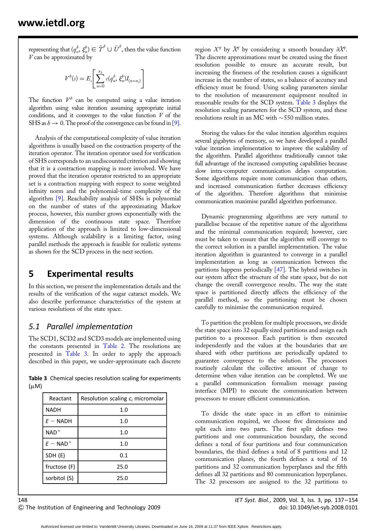representing that  $(q_n^b, \xi_n^b) \in \overline{T}^b \cup \overline{U}^b$ , then the value function  $V$  can be approximated by

$$
V^{b}(s) = E_{s} \left[ \sum_{n=0}^{v_{b}} c(q_{n}^{b}, \xi_{n}^{b}) I_{(n=n_{i})} \right]
$$

The function  $V^b$  can be computed using a value iteration algorithm using value iteration assuming appropriate initial conditions, and it converges to the value function  $V$  of the SHS as  $h \to 0$ . The proof of the convergence can be found in [9].

Analysis of the computational complexity of value iteration algorithms is usually based on the contraction property of the iteration operator. The iteration operator used for verification of SHS corresponds to an undiscounted criterion and showing that it is a contraction mapping is more involved. We have proved that the iteration operator restricted to an appropriate set is a contraction mapping with respect to some weighted infinity norm and the polynomial-time complexity of the algorithm [9]. Reachability analysis of SHSs is polynomial on the number of states of the approximating Markov process, however, this number grows exponentially with the dimension of the continuous state space. Therefore application of the approach is limited to low-dimensional systems. Although scalability is a limiting factor, using parallel methods the approach is feasible for realistic systems as shown for the SCD process in the next section.

# 5 Experimental results

In this section, we present the implementation details and the results of the verification of the sugar cataract models. We also describe performance characteristics of the system at various resolutions of the state space.

### 5.1 Parallel implementation

The SCD1, SCD2 and SCD3 models are implemented using the constants presented in Table 2. The resolutions are presented in Table 3. In order to apply the approach described in this paper, we under-approximate each discrete

Table 3 Chemical species resolution scaling for experiments  $(\mu M)$ 

| Reactant           | Resolution scaling $c_i$ micromolar |
|--------------------|-------------------------------------|
| <b>NADH</b>        | 1.0                                 |
| $E - NADH$         | 1.0                                 |
| $NAD$ <sup>+</sup> | 1.0                                 |
| $E - NAD+$         | 1.0                                 |
| SDH (E)            | 0.1                                 |
| fructose (F)       | 25.0                                |
| sorbitol (S)       | 25.0                                |

region  $X^q$  by  $\tilde{X}^q$  by considering a smooth boundary  $\partial \tilde{X}^q$ . The discrete approximations must be created using the finest resolution possible to ensure an accurate result, but increasing the fineness of the resolution causes a significant increase in the number of states, so a balance of accuracy and efficiency must be found. Using scaling parameters similar to the resolution of measurement equipment resulted in reasonable results for the SCD system. Table 3 displays the resolution scaling parameters for the SCD system, and these resolutions result in an MC with  ${\sim}550$  million states.

Storing the values for the value iteration algorithm requires several gigabytes of memory, so we have developed a parallel value iteration implementation to improve the scalability of the algorithm. Parallel algorithms traditionally cannot take full advantage of the increased computing capabilities because slow intra-computer communication delays computation. Some algorithms require more communication than others, and increased communication further decreases efficiency of the algorithm. Therefore algorithms that minimise communication maximise parallel algorithm performance.

Dynamic programming algorithms are very natural to parallelise because of the repetitive nature of the algorithms and the minimal communication required; however, care must be taken to ensure that the algorithm will converge to the correct solution in a parallel implementation. The value iteration algorithm is guaranteed to converge in a parallel implementation as long as communication between the partitions happens periodically [47]. The hybrid switches in our system affect the structure of the state space, but do not change the overall convergence results. The way the state space is partitioned directly affects the efficiency of the parallel method, so the partitioning must be chosen carefully to minimise the communication required.

To partition the problem for multiple processors, we divide the state space into 32 equally sized partitions and assign each partition to a processor. Each partition is then executed independently and the values at the boundaries that are shared with other partitions are periodically updated to guarantee convergence to the solution. The processors routinely calculate the collective amount of change to determine when value iteration can be completed. We use a parallel communication formalism message passing interface (MPI) to execute the communication between processors to ensure efficient communication.

To divide the state space in an effort to minimise communication required, we choose five dimensions and split each into two parts. The first split defines two partitions and one communication boundary, the second defines a total of four partitions and four communication boundaries, the third defines a total of 8 partitions and 12 communication planes, the fourth defines a total of 16 partitions and 32 communication hyperplanes and the fifth defines all 32 partitions and 80 communication hyperplanes. The 32 processors are assigned to the 32 partitions to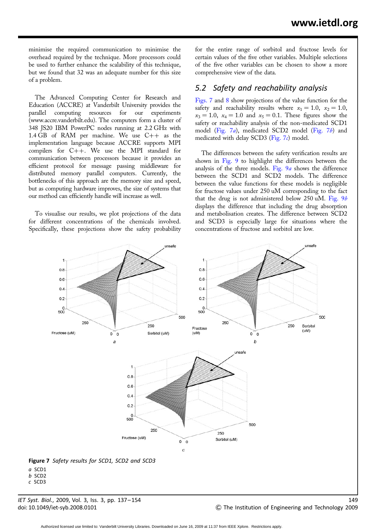minimise the required communication to minimise the overhead required by the technique. More processors could be used to further enhance the scalability of this technique, but we found that 32 was an adequate number for this size of a problem.

The Advanced Computing Center for Research and Education (ACCRE) at Vanderbilt University provides the parallel computing resources for our experiments (www.accre.vanderbilt.edu). The computers form a cluster of 348 JS20 IBM PowerPC nodes running at 2.2 GHz with 1.4 GB of RAM per machine. We use  $C++$  as the implementation language because ACCRE supports MPI compilers for  $C++$ . We use the MPI standard for communication between processors because it provides an efficient protocol for message passing middleware for distributed memory parallel computers. Currently, the bottlenecks of this approach are the memory size and speed, but as computing hardware improves, the size of systems that our method can efficiently handle will increase as well.

To visualise our results, we plot projections of the data for different concentrations of the chemicals involved. Specifically, these projections show the safety probability for the entire range of sorbitol and fructose levels for certain values of the five other variables. Multiple selections of the five other variables can be chosen to show a more comprehensive view of the data.

#### 5.2 Safety and reachability analysis

Figs. 7 and 8 show projections of the value function for the safety and reachability results where  $x_1 = 1.0$ ,  $x_2 = 1.0$ ,  $x_3 = 1.0$ ,  $x_4 = 1.0$  and  $x_5 = 0.1$ . These figures show the safety or reachability analysis of the non-medicated SCD1 model (Fig. 7a), medicated SCD2 model (Fig. 7b) and medicated with delay SCD3 (Fig.  $7c$ ) model.

The differences between the safety verification results are shown in Fig. 9 to highlight the differences between the analysis of the three models. Fig. 9a shows the difference between the SCD1 and SCD2 models. The difference between the value functions for these models is negligible for fructose values under 250 uM corresponding to the fact that the drug is not administered below 250 uM. Fig.  $9b$ displays the difference that including the drug absorption and metabolisation creates. The difference between SCD2 and SCD3 is especially large for situations where the concentrations of fructose and sorbitol are low.

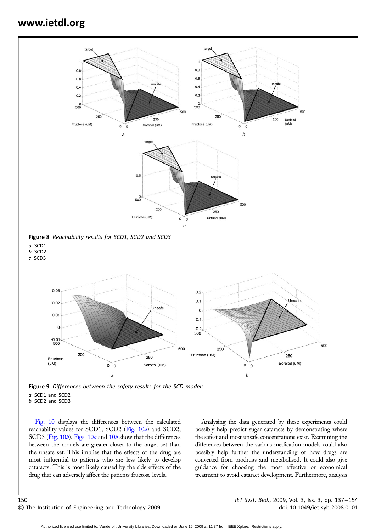



Fig. 10 displays the differences between the calculated reachability values for SCD1, SCD2 (Fig. 10a) and SCD2, SCD3 (Fig. 10b). Figs. 10a and 10b show that the differences between the models are greater closer to the target set than the unsafe set. This implies that the effects of the drug are most influential to patients who are less likely to develop cataracts. This is most likely caused by the side effects of the drug that can adversely affect the patients fructose levels.

Analysing the data generated by these experiments could possibly help predict sugar cataracts by demonstrating where the safest and most unsafe concentrations exist. Examining the differences between the various medication models could also possibly help further the understanding of how drugs are converted from prodrugs and metabolised. It could also give guidance for choosing the most effective or economical treatment to avoid cataract development. Furthermore, analysis

Authorized licensed use limited to: Vanderbilt University Libraries. Downloaded on June 16, 2009 at 11:37 from IEEE Xplore. Restrictions apply.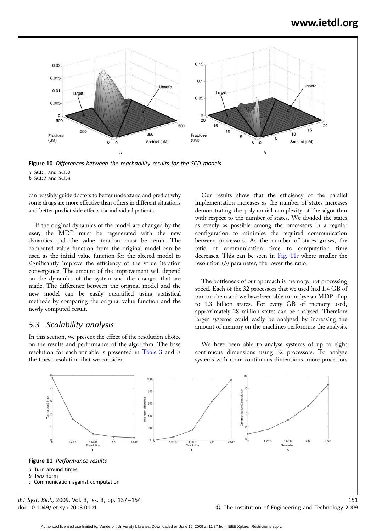

Figure 10 Differences between the reachability results for the SCD models a SCD1 and SCD2 b SCD2 and SCD3

can possibly guide doctors to better understand and predict why some drugs are more effective than others in different situations and better predict side effects for individual patients.

If the original dynamics of the model are changed by the user, the MDP must be regenerated with the new dynamics and the value iteration must be rerun. The computed value function from the original model can be used as the initial value function for the altered model to significantly improve the efficiency of the value iteration convergence. The amount of the improvement will depend on the dynamics of the system and the changes that are made. The difference between the original model and the new model can be easily quantified using statistical methods by comparing the original value function and the newly computed result.

#### 5.3 Scalability analysis

In this section, we present the effect of the resolution choice on the results and performance of the algorithm. The base resolution for each variable is presented in Table 3 and is the finest resolution that we consider.

Our results show that the efficiency of the parallel implementation increases as the number of states increases demonstrating the polynomial complexity of the algorithm with respect to the number of states. We divided the states as evenly as possible among the processors in a regular configuration to minimise the required communication between processors. As the number of states grows, the ratio of communication time to computation time decreases. This can be seen in Fig.  $11c$  where smaller the resolution  $(b)$  parameter, the lower the ratio.

The bottleneck of our approach is memory, not processing speed. Each of the 32 processors that we used had 1.4 GB of ram on them and we have been able to analyse an MDP of up to 1.3 billion states. For every GB of memory used, approximately 28 million states can be analysed. Therefore larger systems could easily be analysed by increasing the amount of memory on the machines performing the analysis.

We have been able to analyse systems of up to eight continuous dimensions using 32 processors. To analyse systems with more continuous dimensions, more processors



Authorized licensed use limited to: Vanderbilt University Libraries. Downloaded on June 16, 2009 at 11:37 from IEEE Xplore. Restrictions apply.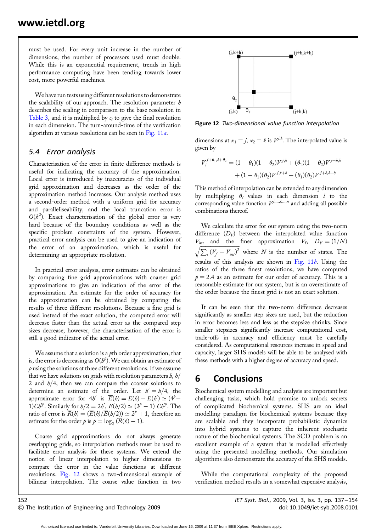must be used. For every unit increase in the number of dimensions, the number of processors used must double. While this is an exponential requirement, trends in high performance computing have been tending towards lower cost, more powerful machines.

We have run tests using different resolutions to demonstrate the scalability of our approach. The resolution parameter  $h$ describes the scaling in comparison to the base resolution in Table 3, and it is multiplied by  $c_i$  to give the final resolution in each dimension. The turn-around-time of the verification algorithm at various resolutions can be seen in Fig. 11a.

#### 5.4 Error analysis

Characterisation of the error in finite difference methods is useful for indicating the accuracy of the approximation. Local error is introduced by inaccuracies of the individual grid approximation and decreases as the order of the approximation method increases. Our analysis method uses a second-order method with a uniform grid for accuracy and paralleliseability, and the local truncation error is  $O(b^2)$ . Exact characterisation of the global error is very hard because of the boundary conditions as well as the specific problem constraints of the system. However, practical error analysis can be used to give an indication of the error of an approximation, which is useful for determining an appropriate resolution.

In practical error analysis, error estimates can be obtained by comparing fine grid approximations with coarser grid approximations to give an indication of the error of the approximation. An estimate for the order of accuracy for the approximation can be obtained by comparing the results of three different resolutions. Because a fine grid is used instead of the exact solution, the computed error will decrease faster than the actual error as the compared step sizes decrease; however, the characterisation of the error is still a good indicator of the actual error.

We assume that a solution is a  $p$ th order approximation, that is, the error is decreasing as  $O(b^p)$ . We can obtain an estimate of  $p$  using the solutions at three different resolutions. If we assume that we have solutions on grids with resolution parameters  $h, h/$ 2 and  $h/4$ , then we can compare the coarser solutions to determine an estimate of the order. Let  $h' = h/4$ , the approximate error for  $4h'$  is  $\overline{E}(h) = E(h) - E(h') \simeq (4^p -$ 1)Ch<sup>tp</sup>. Similarly for  $h/2 = 2h'$ ,  $\overline{E}(h/2) \simeq (2^p - 1)$  Ch<sup>tp</sup>. The ratio of error is  $\overline{R}(h) = (\overline{E}(h)/\overline{E}(h/2)) \simeq 2^p + 1$ , therefore an estimate for the order  $p$  is  $p = log_2 (\overline{R}(h) - 1)$ .

Coarse grid approximations do not always generate overlapping grids, so interpolation methods must be used to facilitate error analysis for these systems. We extend the notion of linear interpolation to higher dimensions to compare the error in the value functions at different resolutions. Fig. 12 shows a two-dimensional example of bilinear interpolation. The coarse value function in two



Figure 12 Two-dimensional value function interpolation

dimensions at  $x_1 = j$ ,  $x_2 = k$  is  $V^{j,k}$ . The interpolated value is given by

$$
V_i^{j+\theta_1, k+\theta_2} = (1 - \theta_1)(1 - \theta_2)V^{j,k} + (\theta_1)(1 - \theta_2)V^{j+k,k}
$$

$$
+ (1 - \theta_1)(\theta_2)V^{j,k+\delta} + (\theta_1)(\theta_2)V^{j+k,\delta}
$$

This method of interpolation can be extended to any dimension by multiplying  $\theta_l$  values in each dimension  $l$  to the corresponding value function  $V^{j,...,l,...,n}$  and adding all possible combinations thereof.

We calculate the error for our system using the two-norm difference  $(D_V)$  between the interpolated value function  $V_{\text{int}}$  and the finer approximation  $V_{\text{f}}$ ,  $D_V = (1/N)$  $\sqrt{\sum_i (V_f - V_{int})^2}$  where N is the number of states. The results of this analysis are shown in Fig. 11b. Using the ratios of the three finest resolutions, we have computed  $p = 2.4$  as an estimate for our order of accuracy. This is a reasonable estimate for our system, but is an overestimate of the order because the finest grid is not an exact solution.

It can be seen that the two-norm difference decreases significantly as smaller step sizes are used, but the reduction in error becomes less and less as the stepsize shrinks. Since smaller stepsizes significantly increase computational cost, trade-offs in accuracy and efficiency must be carefully considered. As computational resources increase in speed and capacity, larger SHS models will be able to be analysed with these methods with a higher degree of accuracy and speed.

### 6 Conclusions

Biochemical system modelling and analysis are important but challenging tasks, which hold promise to unlock secrets of complicated biochemical systems. SHS are an ideal modelling paradigm for biochemical systems because they are scalable and they incorporate probabilistic dynamics into hybrid systems to capture the inherent stochastic nature of the biochemical systems. The SCD problem is an excellent example of a system that is modelled effectively using the presented modelling methods. Our simulation algorithms also demonstrate the accuracy of the SHS models.

While the computational complexity of the proposed verification method results in a somewhat expensive analysis,

Authorized licensed use limited to: Vanderbilt University Libraries. Downloaded on June 16, 2009 at 11:37 from IEEE Xplore. Restrictions apply.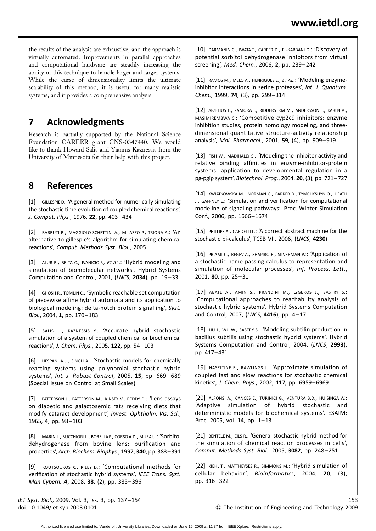the results of the analysis are exhaustive, and the approach is virtually automated. Improvements in parallel approaches and computational hardware are steadily increasing the ability of this technique to handle larger and larger systems. While the curse of dimensionality limits the ultimate scalability of this method, it is useful for many realistic systems, and it provides a comprehensive analysis.

### 7 Acknowledgments

Research is partially supported by the National Science Foundation CAREER grant CNS-0347440. We would like to thank Howard Salis and Yiannis Kaznessis from the University of Minnesota for their help with this project.

# 8 References

[1] GILLESPIE D.: 'A general method for numerically simulating the stochastic time evolution of coupled chemical reactions', J. Comput. Phys., 1976, 22, pp. 403-434

[2] BARBUTI R., MAGGIOLO-SCHETTINI A., MILAZZO P., TRIONA A.: 'An alternative to gillespie's algorithm for simulating chemical reactions', Comput. Methods Syst. Biol., 2005

[3] ALUR R., BELTA C., IVANICIC F., ET AL.: 'Hybrid modeling and simulation of biomolecular networks'. Hybrid Systems Computation and Control, 2001, (LNCS, 2034), pp. 19– 33

[4] GHOSH R., TOMLIN C.: 'Symbolic reachable set computation of piecewise affine hybrid automata and its application to biological modeling: delta-notch protein signalling', Syst. Biol., 2004, 1, pp. 170-183

[5] SALIS H., KAZNESSIS Y.: 'Accurate hybrid stochastic simulation of a system of coupled chemical or biochemical reactions', J. Chem. Phys., 2005, 122, pp. 54– 103

[6] HESPANHA J., SINGH A.: 'Stochastic models for chemically reacting systems using polynomial stochastic hybrid systems', Int. J. Robust Control, 2005, 15, pp. 669-689 (Special Issue on Control at Small Scales)

[7] PATTERSON J., PATTERSON M., KINSEY V., REDDY D.: 'Lens assays on diabetic and galactosemic rats receiving diets that modify cataract development', Invest. Ophthalm. Vis. Sci., 1965, 4, pp. 98– 103

[8] MARINI I., BUCCHIONI L., BORELLA P., CORSO A.D., MURA U.: 'Sorbitol dehydrogenase from bovine lens: purification and properties', Arch. Biochem. Biophys., 1997, 340, pp. 383– 391

[9] KOUTSOUKOS X., RILEY D.: 'Computational methods for verification of stochastic hybrid systems', IEEE Trans. Syst. Man Cybern. A, 2008, 38, (2), pp. 385– 396

[10] DARMANIN C., IWATA T., CARPER D., EL-KABBANI O.: 'Discovery of potential sorbitol dehydrogenase inhibitors from virtual screening', Med. Chem., 2006, 2, pp. 239– 242

[11] RAMOS M., MELO A., HENRIQUES E., ETAL.: 'Modeling enzymeinhibitor interactions in serine proteases', Int. J. Quantum. Chem., 1999, 74, (3), pp. 299-314

[12] AFZELIUS L., ZAMORA I., RIDDERSTRM M., ANDERSSON T., KARLN A., MASIMIREMBWA C.: 'Competitive cyp2c9 inhibitors: enzyme inhibition studies, protein homology modeling, and threedimensional quantitative structure-activity relationship analysis', Mol. Pharmacol., 2001, 59, (4), pp. 909-919

[13] FISH W., MADIHALLY S.: 'Modeling the inhibitor activity and relative binding affinities in enzyme-inhibitor-protein systems: application to developmental regulation in a pg-pgip system', Biotechnol. Prog., 2004, 20, (3), pp. 721–727

[14] KWIATKOWSKA M., NORMAN G., PARKER D., TYMCHYSHYN O., HEATH J., GAFFNEY E.: 'Simulation and verification for computational modeling of signaling pathways'. Proc. Winter Simulation Conf., 2006, pp. 1666-1674

[15] PHILLIPS A., CARDELLI L.: 'A correct abstract machine for the stochastic pi-calculus', TCSB VII, 2006, (LNCS, 4230)

[16] PRIAMI C., REGEV A., SHAPIRO E., SILVERMAN W.: 'Application of a stochastic name-passing calculus to representation and simulation of molecular processes', Inf. Process. Lett., 2001, 80, pp.  $25-31$ 

[17] ABATE A., AMIN S., PRANDINI M., LYGEROS J., SASTRY S.: 'Computational approaches to reachability analysis of stochastic hybrid systems'. Hybrid Systems Computation and Control, 2007, (LNCS, 4416), pp.  $4-17$ 

[18] HU J., WU W., SASTRY S.: 'Modeling subtilin production in bacillus subtilis using stochastic hybrid systems'. Hybrid Systems Computation and Control, 2004, (LNCS, 2993), pp. 417–431

[19] HASELTINE E., RAWLINGS J.: 'Approximate simulation of coupled fast and slow reactions for stochastic chemical kinetics', J. Chem. Phys., 2002, 117, pp. 6959– 6969

[20] ALFONSI A., CANCES E., TURINICI G., VENTURA B.D., HUISINGA W.: 'Adaptive simulation of hybrid stochastic and deterministic models for biochemical systems'. ESAIM: Proc. 2005, vol. 14, pp. 1– 13

[21] BENTELE M., EILS R.: 'General stochastic hybrid method for the simulation of chemical reaction processes in cells', Comput. Methods Syst. Biol., 2005, 3082, pp. 248– 251

[22] KIEHL T., MATTHEYSES R., SIMMONS M.: 'Hybrid simulation of cellular behavior', Bioinformatics, 2004, 20, (3), pp. 316– 322

IET Syst. Biol., 2009, Vol. 3, Iss. 3, pp. 137–154 153

Authorized licensed use limited to: Vanderbilt University Libraries. Downloaded on June 16, 2009 at 11:37 from IEEE Xplore. Restrictions apply.